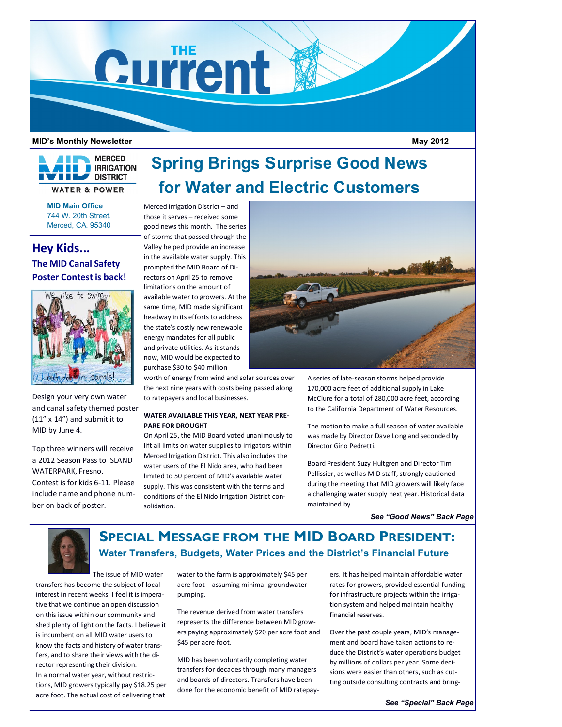

### **MID's Monthly Newsletter**

**MERCED IRRIGATION BUY DISTRICT WATER & POWER** 

> **MID Main Office** 744 W. 20th Street. Merced, CA. 95340

# **Hey Kids... The MID Canal Safety Poster Contest is back!**



Design your very own water and canal safety themed poster (11" x 14") and submit it to MID by June 4.

Top three winners will receive a 2012 Season Pass to ISLAND WATERPARK, Fresno. Contest is for kids 6-11. Please include name and phone number on back of poster.

# **Spring Brings Surprise Good News for Water and Electric Customers**

Merced Irrigation District – and those it serves – received some good news this month. The series of storms that passed through the Valley helped provide an increase in the available water supply. This prompted the MID Board of Directors on April 25 to remove limitations on the amount of available water to growers. At the same time, MID made significant headway in its efforts to address the state's costly new renewable energy mandates for all public and private utilities. As it stands now, MID would be expected to purchase \$30 to \$40 million

worth of energy from wind and solar sources over the next nine years with costs being passed along to ratepayers and local businesses.

## **WATER AVAILABLE THIS YEAR, NEXT YEAR PRE-PARE FOR DROUGHT**

On April 25, the MID Board voted unanimously to lift all limits on water supplies to irrigators within Merced Irrigation District. This also includes the water users of the El Nido area, who had been limited to 50 percent of MID's available water supply. This was consistent with the terms and conditions of the El Nido Irrigation District consolidation.



A series of late-season storms helped provide 170,000 acre feet of additional supply in Lake McClure for a total of 280,000 acre feet, according to the California Department of Water Resources.

The motion to make a full season of water available was made by Director Dave Long and seconded by Director Gino Pedretti.

Board President Suzy Hultgren and Director Tim Pellissier, as well as MID staff, strongly cautioned during the meeting that MID growers will likely face a challenging water supply next year. Historical data maintained by

*See "Good News" Back Page*

 **May 2012**



# **SPECIAL MESSAGE FROM THE MID BOARD PRESIDENT: Water Transfers, Budgets, Water Prices and the District's Financial Future**

The issue of MID water

transfers has become the subject of local interest in recent weeks. I feel it is imperative that we continue an open discussion on this issue within our community and shed plenty of light on the facts. I believe it is incumbent on all MID water users to know the facts and history of water transfers, and to share their views with the director representing their division. In a normal water year, without restrictions, MID growers typically pay \$18.25 per acre foot. The actual cost of delivering that

water to the farm is approximately \$45 per acre foot – assuming minimal groundwater pumping.

The revenue derived from water transfers represents the difference between MID growers paying approximately \$20 per acre foot and \$45 per acre foot.

MID has been voluntarily completing water transfers for decades through many managers and boards of directors. Transfers have been done for the economic benefit of MID ratepayers. It has helped maintain affordable water rates for growers, provided essential funding for infrastructure projects within the irrigation system and helped maintain healthy financial reserves.

Over the past couple years, MID's management and board have taken actions to reduce the District's water operations budget by millions of dollars per year. Some decisions were easier than others, such as cutting outside consulting contracts and bring-